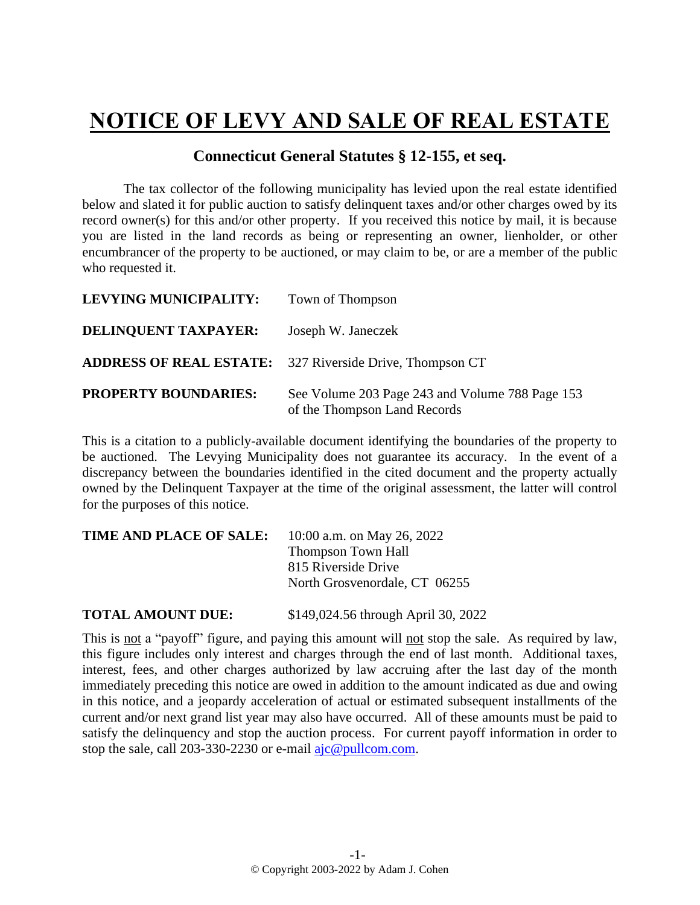## **NOTICE OF LEVY AND SALE OF REAL ESTATE**

## **Connecticut General Statutes § 12-155, et seq.**

The tax collector of the following municipality has levied upon the real estate identified below and slated it for public auction to satisfy delinquent taxes and/or other charges owed by its record owner(s) for this and/or other property. If you received this notice by mail, it is because you are listed in the land records as being or representing an owner, lienholder, or other encumbrancer of the property to be auctioned, or may claim to be, or are a member of the public who requested it.

| <b>LEVYING MUNICIPALITY:</b> | Town of Thompson                                                                |
|------------------------------|---------------------------------------------------------------------------------|
| <b>DELINQUENT TAXPAYER:</b>  | Joseph W. Janeczek                                                              |
|                              | <b>ADDRESS OF REAL ESTATE:</b> 327 Riverside Drive, Thompson CT                 |
| <b>PROPERTY BOUNDARIES:</b>  | See Volume 203 Page 243 and Volume 788 Page 153<br>of the Thompson Land Records |

This is a citation to a publicly-available document identifying the boundaries of the property to be auctioned. The Levying Municipality does not guarantee its accuracy. In the event of a discrepancy between the boundaries identified in the cited document and the property actually owned by the Delinquent Taxpayer at the time of the original assessment, the latter will control for the purposes of this notice.

| TIME AND PLACE OF SALE: | 10:00 a.m. on May 26, 2022    |
|-------------------------|-------------------------------|
|                         | <b>Thompson Town Hall</b>     |
|                         | 815 Riverside Drive           |
|                         | North Grosvenordale, CT 06255 |
|                         |                               |

**TOTAL AMOUNT DUE:** \$149,024.56 through April 30, 2022

This is not a "payoff" figure, and paying this amount will not stop the sale. As required by law, this figure includes only interest and charges through the end of last month. Additional taxes, interest, fees, and other charges authorized by law accruing after the last day of the month immediately preceding this notice are owed in addition to the amount indicated as due and owing in this notice, and a jeopardy acceleration of actual or estimated subsequent installments of the current and/or next grand list year may also have occurred. All of these amounts must be paid to satisfy the delinquency and stop the auction process. For current payoff information in order to stop the sale, call 203-330-2230 or e-mail [ajc@pullcom.com.](mailto:ajc@pullcom.com)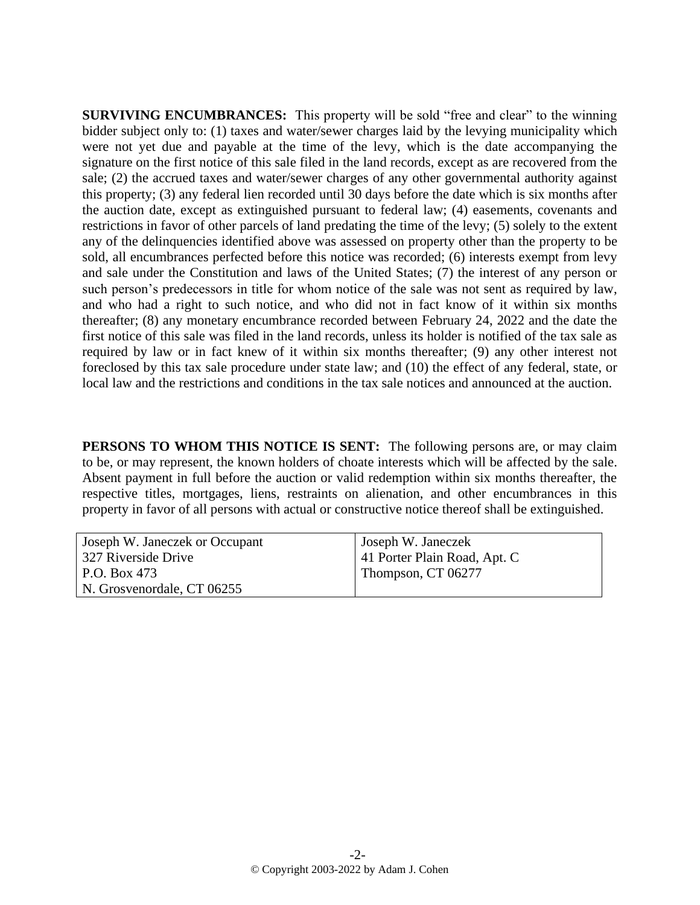**SURVIVING ENCUMBRANCES:** This property will be sold "free and clear" to the winning bidder subject only to: (1) taxes and water/sewer charges laid by the levying municipality which were not yet due and payable at the time of the levy, which is the date accompanying the signature on the first notice of this sale filed in the land records, except as are recovered from the sale; (2) the accrued taxes and water/sewer charges of any other governmental authority against this property; (3) any federal lien recorded until 30 days before the date which is six months after the auction date, except as extinguished pursuant to federal law; (4) easements, covenants and restrictions in favor of other parcels of land predating the time of the levy; (5) solely to the extent any of the delinquencies identified above was assessed on property other than the property to be sold, all encumbrances perfected before this notice was recorded; (6) interests exempt from levy and sale under the Constitution and laws of the United States; (7) the interest of any person or such person's predecessors in title for whom notice of the sale was not sent as required by law, and who had a right to such notice, and who did not in fact know of it within six months thereafter; (8) any monetary encumbrance recorded between February 24, 2022 and the date the first notice of this sale was filed in the land records, unless its holder is notified of the tax sale as required by law or in fact knew of it within six months thereafter; (9) any other interest not foreclosed by this tax sale procedure under state law; and (10) the effect of any federal, state, or local law and the restrictions and conditions in the tax sale notices and announced at the auction.

**PERSONS TO WHOM THIS NOTICE IS SENT:** The following persons are, or may claim to be, or may represent, the known holders of choate interests which will be affected by the sale. Absent payment in full before the auction or valid redemption within six months thereafter, the respective titles, mortgages, liens, restraints on alienation, and other encumbrances in this property in favor of all persons with actual or constructive notice thereof shall be extinguished.

| Joseph W. Janeczek or Occupant | Joseph W. Janeczek           |
|--------------------------------|------------------------------|
| 327 Riverside Drive            | 41 Porter Plain Road, Apt. C |
| P.O. Box 473                   | Thompson, CT 06277           |
| N. Grosvenordale, CT 06255     |                              |